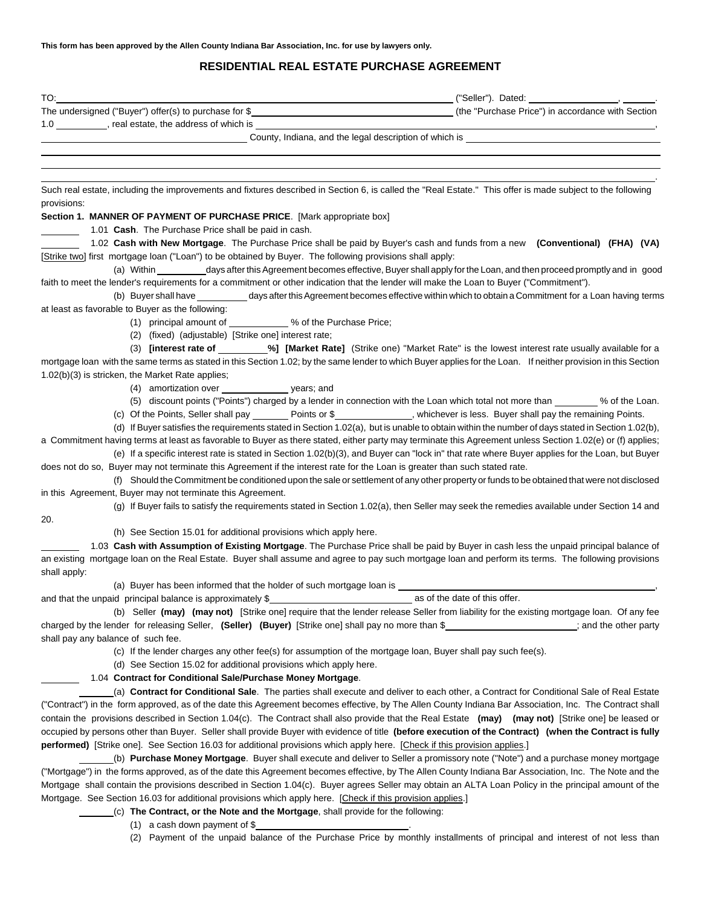# **RESIDENTIAL REAL ESTATE PURCHASE AGREEMENT**

| TO: the contract of the contract of the contract of the contract of the contract of the contract of the contract of the contract of the contract of the contract of the contract of the contract of the contract of the contra |                                                                                                                                                 |
|--------------------------------------------------------------------------------------------------------------------------------------------------------------------------------------------------------------------------------|-------------------------------------------------------------------------------------------------------------------------------------------------|
| The undersigned ("Buyer") offer(s) to purchase for \$                                                                                                                                                                          | (the "Purchase Price") in accordance with Section                                                                                               |
| 1.0 ____________, real estate, the address of which is                                                                                                                                                                         |                                                                                                                                                 |
|                                                                                                                                                                                                                                |                                                                                                                                                 |
|                                                                                                                                                                                                                                |                                                                                                                                                 |
|                                                                                                                                                                                                                                |                                                                                                                                                 |
| Such real estate, including the improvements and fixtures described in Section 6, is called the "Real Estate." This offer is made subject to the following<br>provisions:                                                      |                                                                                                                                                 |
| Section 1. MANNER OF PAYMENT OF PURCHASE PRICE. [Mark appropriate box]                                                                                                                                                         |                                                                                                                                                 |
| 1.01 Cash. The Purchase Price shall be paid in cash.                                                                                                                                                                           |                                                                                                                                                 |
| 1.02 Cash with New Mortgage. The Purchase Price shall be paid by Buyer's cash and funds from a new (Conventional) (FHA) (VA)                                                                                                   |                                                                                                                                                 |
| [Strike two] first mortgage loan ("Loan") to be obtained by Buyer. The following provisions shall apply:                                                                                                                       |                                                                                                                                                 |
|                                                                                                                                                                                                                                | (a) Within ___________days after this Agreement becomes effective, Buyer shall apply for the Loan, and then proceed promptly and in good        |
| faith to meet the lender's requirements for a commitment or other indication that the lender will make the Loan to Buyer ("Commitment").                                                                                       |                                                                                                                                                 |
|                                                                                                                                                                                                                                | (b) Buyer shall have ___________ days after this Agreement becomes effective within which to obtain a Commitment for a Loan having terms        |
| at least as favorable to Buyer as the following:                                                                                                                                                                               |                                                                                                                                                 |
| (1) principal amount of ___________% of the Purchase Price;                                                                                                                                                                    |                                                                                                                                                 |
| (2) (fixed) (adjustable) [Strike one] interest rate;                                                                                                                                                                           |                                                                                                                                                 |
| mortgage loan with the same terms as stated in this Section 1.02; by the same lender to which Buyer applies for the Loan. If neither provision in this Section                                                                 | (3) <b>[interest rate of</b> ___________%] [Market Rate] (Strike one) "Market Rate" is the lowest interest rate usually available for a         |
| 1.02(b)(3) is stricken, the Market Rate applies;                                                                                                                                                                               |                                                                                                                                                 |
| (4) amortization over ______________________ years; and                                                                                                                                                                        |                                                                                                                                                 |
|                                                                                                                                                                                                                                | (5) discount points ("Points") charged by a lender in connection with the Loan which total not more than _______ % of the Loan.                 |
|                                                                                                                                                                                                                                | (c) Of the Points, Seller shall pay ________ Points or \$______________, whichever is less. Buyer shall pay the remaining Points.               |
|                                                                                                                                                                                                                                | (d) If Buyer satisfies the requirements stated in Section 1.02(a), but is unable to obtain within the number of days stated in Section 1.02(b), |
| a Commitment having terms at least as favorable to Buyer as there stated, either party may terminate this Agreement unless Section 1.02(e) or (f) applies;                                                                     |                                                                                                                                                 |
|                                                                                                                                                                                                                                | (e) If a specific interest rate is stated in Section 1.02(b)(3), and Buyer can "lock in" that rate where Buyer applies for the Loan, but Buyer  |
| does not do so, Buyer may not terminate this Agreement if the interest rate for the Loan is greater than such stated rate.                                                                                                     |                                                                                                                                                 |
|                                                                                                                                                                                                                                | (f) Should the Commitment be conditioned upon the sale or settlement of any other property or funds to be obtained that were not disclosed      |
| in this Agreement, Buyer may not terminate this Agreement.                                                                                                                                                                     |                                                                                                                                                 |
| 20.                                                                                                                                                                                                                            | (g) If Buyer fails to satisfy the requirements stated in Section 1.02(a), then Seller may seek the remedies available under Section 14 and      |
| (h) See Section 15.01 for additional provisions which apply here.                                                                                                                                                              |                                                                                                                                                 |
| 1.03 Cash with Assumption of Existing Mortgage. The Purchase Price shall be paid by Buyer in cash less the unpaid principal balance of                                                                                         |                                                                                                                                                 |
| an existing mortgage loan on the Real Estate. Buyer shall assume and agree to pay such mortgage loan and perform its terms. The following provisions<br>shall apply:                                                           |                                                                                                                                                 |
| (a) Buyer has been informed that the holder of such mortgage loan is _____                                                                                                                                                     |                                                                                                                                                 |
|                                                                                                                                                                                                                                |                                                                                                                                                 |
|                                                                                                                                                                                                                                | (b) Seller (may) (may not) [Strike one] require that the lender release Seller from liability for the existing mortgage loan. Of any fee        |
| charged by the lender for releasing Seller, (Seller) (Buyer) [Strike one] shall pay no more than \$                                                                                                                            |                                                                                                                                                 |
| shall pay any balance of such fee.                                                                                                                                                                                             |                                                                                                                                                 |
| (c) If the lender charges any other fee(s) for assumption of the mortgage loan, Buyer shall pay such fee(s).                                                                                                                   |                                                                                                                                                 |
| (d) See Section 15.02 for additional provisions which apply here.                                                                                                                                                              |                                                                                                                                                 |
| 1.04 Contract for Conditional Sale/Purchase Money Mortgage.                                                                                                                                                                    |                                                                                                                                                 |
| ("Contract") in the form approved, as of the date this Agreement becomes effective, by The Allen County Indiana Bar Association, Inc. The Contract shall                                                                       | (a) Contract for Conditional Sale. The parties shall execute and deliver to each other, a Contract for Conditional Sale of Real Estate          |
| contain the provisions described in Section 1.04(c). The Contract shall also provide that the Real Estate (may) (may not) [Strike one] be leased or                                                                            |                                                                                                                                                 |
| occupied by persons other than Buyer. Seller shall provide Buyer with evidence of title (before execution of the Contract) (when the Contract is fully                                                                         |                                                                                                                                                 |
| performed) [Strike one]. See Section 16.03 for additional provisions which apply here. [Check if this provision applies.]                                                                                                      |                                                                                                                                                 |
|                                                                                                                                                                                                                                | (b) Purchase Money Mortgage. Buyer shall execute and deliver to Seller a promissory note ("Note") and a purchase money mortgage                 |
| ("Mortgage") in the forms approved, as of the date this Agreement becomes effective, by The Allen County Indiana Bar Association, Inc. The Note and the                                                                        |                                                                                                                                                 |
| Mortgage shall contain the provisions described in Section 1.04(c). Buyer agrees Seller may obtain an ALTA Loan Policy in the principal amount of the                                                                          |                                                                                                                                                 |
| Mortgage. See Section 16.03 for additional provisions which apply here. [Check if this provision applies.]                                                                                                                     |                                                                                                                                                 |
| (c) The Contract, or the Note and the Mortgage, shall provide for the following:                                                                                                                                               |                                                                                                                                                 |
| (1) a cash down payment of $$$                                                                                                                                                                                                 |                                                                                                                                                 |

(2) Payment of the unpaid balance of the Purchase Price by monthly installments of principal and interest of not less than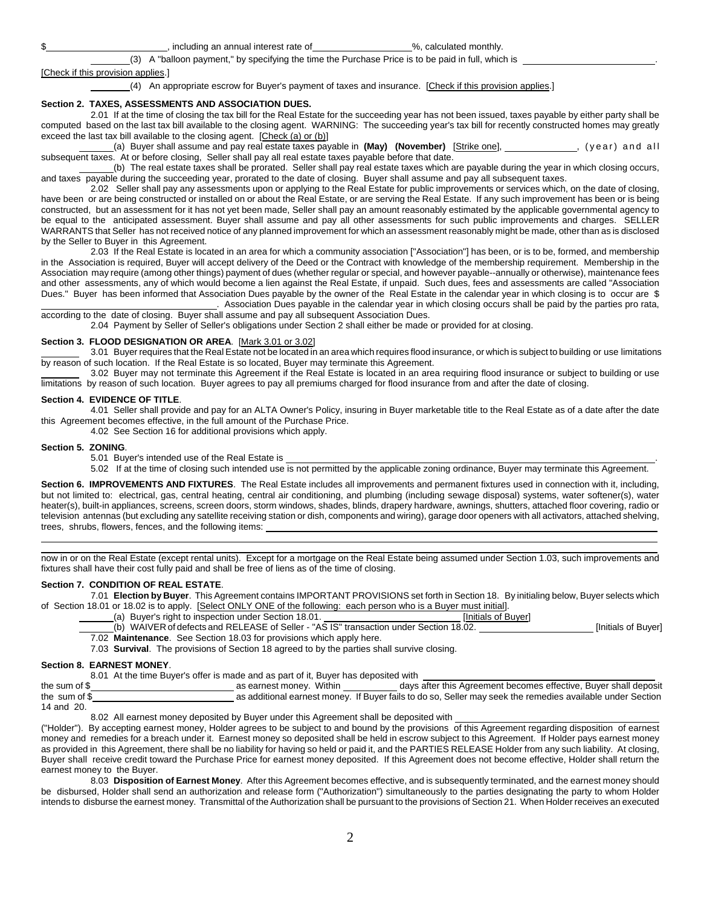#### including an annual interest rate of  $\%$ , calculated monthly.

(3) A "balloon payment," by specifying the time the Purchase Price is to be paid in full, which is .

#### [Check if this provision applies.]

(4) An appropriate escrow for Buyer's payment of taxes and insurance. [Check if this provision applies.]

#### **Section 2. TAXES, ASSESSMENTS AND ASSOCIATION DUES.**

2.01 If at the time of closing the tax bill for the Real Estate for the succeeding year has not been issued, taxes payable by either party shall be computed based on the last tax bill available to the closing agent. WARNING: The succeeding year's tax bill for recently constructed homes may greatly exceed the last tax bill available to the closing agent. [Check (a) or (b)]

(a) Buyer shall assume and pay real estate taxes payable in (May) (November) [Strike one], **success 1998**, (year) and all subsequent taxes. At or before closing, Seller shall pay all real estate taxes payable before that date.

(b) The real estate taxes shall be prorated. Seller shall pay real estate taxes which are payable during the year in which closing occurs, and taxes payable during the succeeding year, prorated to the date of closing. Buyer shall assume and pay all subsequent taxes.

2.02 Seller shall pay any assessments upon or applying to the Real Estate for public improvements or services which, on the date of closing, have been or are being constructed or installed on or about the Real Estate, or are serving the Real Estate. If any such improvement has been or is being constructed, but an assessment for it has not yet been made, Seller shall pay an amount reasonably estimated by the applicable governmental agency to be equal to the anticipated assessment. Buyer shall assume and pay all other assessments for such public improvements and charges. SELLER WARRANTS that Seller has not received notice of any planned improvement for which an assessment reasonably might be made, other than as is disclosed by the Seller to Buyer in this Agreement.

2.03 If the Real Estate is located in an area for which a community association ["Association"] has been, or is to be, formed, and membership in the Association is required, Buyer will accept delivery of the Deed or the Contract with knowledge of the membership requirement. Membership in the Association may require (among other things) payment of dues (whether regular or special, and however payable--annually or otherwise), maintenance fees and other assessments, any of which would become a lien against the Real Estate, if unpaid. Such dues, fees and assessments are called "Association Dues." Buyer has been informed that Association Dues payable by the owner of the Real Estate in the calendar year in which closing is to occur are \$

. Association Dues payable in the calendar year in which closing occurs shall be paid by the parties pro rata, according to the date of closing. Buyer shall assume and pay all subsequent Association Dues.

2.04 Payment by Seller of Seller's obligations under Section 2 shall either be made or provided for at closing.

### **Section 3. FLOOD DESIGNATION OR AREA**. [Mark 3.01 or 3.02]

 3.01 Buyer requires that the Real Estate not be located in an area which requires flood insurance, or which is subject to building or use limitations by reason of such location. If the Real Estate is so located, Buyer may terminate this Agreement.

 3.02 Buyer may not terminate this Agreement if the Real Estate is located in an area requiring flood insurance or subject to building or use limitations by reason of such location. Buyer agrees to pay all premiums charged for flood insurance from and after the date of closing.

#### **Section 4. EVIDENCE OF TITLE**.

 4.01 Seller shall provide and pay for an ALTA Owner's Policy, insuring in Buyer marketable title to the Real Estate as of a date after the date this Agreement becomes effective, in the full amount of the Purchase Price.

4.02 See Section 16 for additional provisions which apply.

#### **Section 5. ZONING**.

5.01 Buyer's intended use of the Real Estate is .

5.02 If at the time of closing such intended use is not permitted by the applicable zoning ordinance, Buyer may terminate this Agreement.

**Section 6. IMPROVEMENTS AND FIXTURES**. The Real Estate includes all improvements and permanent fixtures used in connection with it, including, but not limited to: electrical, gas, central heating, central air conditioning, and plumbing (including sewage disposal) systems, water softener(s), water heater(s), built-in appliances, screens, screen doors, storm windows, shades, blinds, drapery hardware, awnings, shutters, attached floor covering, radio or television antennas (but excluding any satellite receiving station or dish, components and wiring), garage door openers with all activators, attached shelving, trees, shrubs, flowers, fences, and the following items:

now in or on the Real Estate (except rental units). Except for a mortgage on the Real Estate being assumed under Section 1.03, such improvements and fixtures shall have their cost fully paid and shall be free of liens as of the time of closing.

#### **Section 7. CONDITION OF REAL ESTATE**.

7.01 **Election by Buyer**. This Agreement contains IMPORTANT PROVISIONS set forth in Section 18. By initialing below, Buyer selects which of Section 18.01 or 18.02 is to apply. [Select ONLY ONE of the following: each person who is a Buyer must initial].

(a) Buyer's right to inspection under Section 18.01. [Initials of Buyer]

(b) WAIVER of defects and RELEASE of Seller - "AS IS" transaction under Section 18.02. [Initials of Buyer] 7.02 **Maintenance**. See Section 18.03 for provisions which apply here.

7.03 **Survival**. The provisions of Section 18 agreed to by the parties shall survive closing.

#### **Section 8. EARNEST MONEY**.

8.01 At the time Buyer's offer is made and as part of it, Buyer has deposited with the sum of \$<br>as earnest money. Within days after this Agreement becomes effective, Buyer shall deposit the sum of \$ 14 and 20.

8.02 All earnest money deposited by Buyer under this Agreement shall be deposited with

("Holder"). By accepting earnest money, Holder agrees to be subject to and bound by the provisions of this Agreement regarding disposition of earnest money and remedies for a breach under it. Earnest money so deposited shall be held in escrow subject to this Agreement. If Holder pays earnest money as provided in this Agreement, there shall be no liability for having so held or paid it, and the PARTIES RELEASE Holder from any such liability. At closing, Buyer shall receive credit toward the Purchase Price for earnest money deposited. If this Agreement does not become effective, Holder shall return the earnest money to the Buyer.

8.03 **Disposition of Earnest Money**. After this Agreement becomes effective, and is subsequently terminated, and the earnest money should be disbursed, Holder shall send an authorization and release form ("Authorization") simultaneously to the parties designating the party to whom Holder intends to disburse the earnest money. Transmittal of the Authorization shall be pursuant to the provisions of Section 21. When Holder receives an executed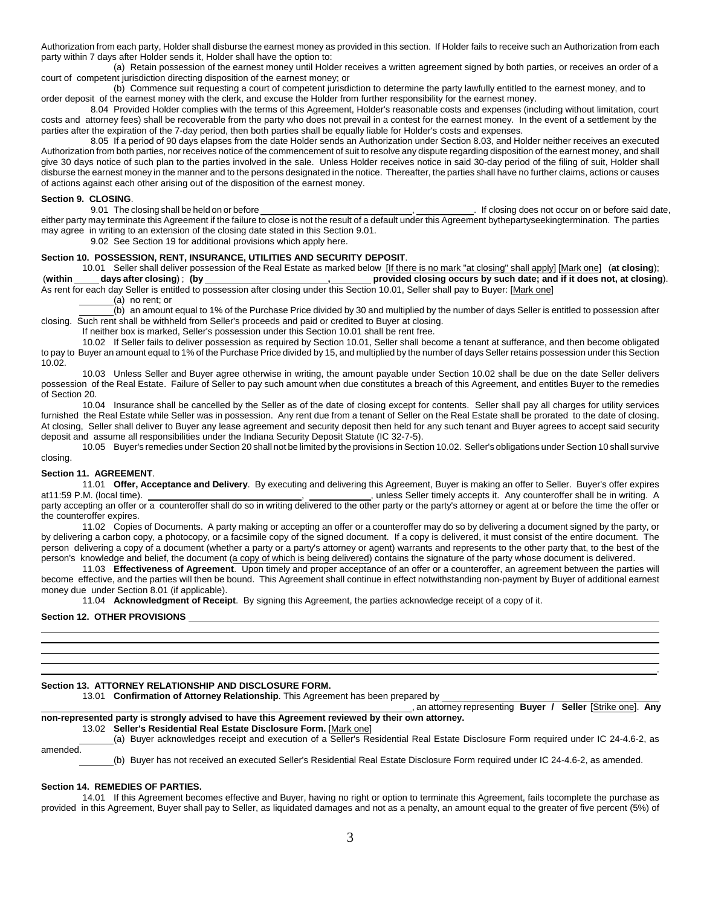Authorization from each party, Holder shall disburse the earnest money as provided in this section. If Holder fails to receive such an Authorization from each party within 7 days after Holder sends it, Holder shall have the option to:

(a) Retain possession of the earnest money until Holder receives a written agreement signed by both parties, or receives an order of a court of competent jurisdiction directing disposition of the earnest money; or

(b) Commence suit requesting a court of competent jurisdiction to determine the party lawfully entitled to the earnest money, and to order deposit of the earnest money with the clerk, and excuse the Holder from further responsibility for the earnest money.

8.04 Provided Holder complies with the terms of this Agreement, Holder's reasonable costs and expenses (including without limitation, court costs and attorney fees) shall be recoverable from the party who does not prevail in a contest for the earnest money. In the event of a settlement by the parties after the expiration of the 7-day period, then both parties shall be equally liable for Holder's costs and expenses.

8.05 If a period of 90 days elapses from the date Holder sends an Authorization under Section 8.03, and Holder neither receives an executed Authorization from both parties, nor receives notice of the commencement of suit to resolve any dispute regarding disposition of the earnest money, and shall give 30 days notice of such plan to the parties involved in the sale. Unless Holder receives notice in said 30-day period of the filing of suit, Holder shall disburse the earnest money in the manner and to the persons designated in the notice. Thereafter, the parties shall have no further claims, actions or causes of actions against each other arising out of the disposition of the earnest money.

**Section 9. CLOSING.**<br>9.01 The closing shall be held on or before . If closing does not occur on or before said date, either party may terminate this Agreement if the failure to close is not the result of a default under this Agreement bythepartyseekingtermination. The parties may agree in writing to an extension of the closing date stated in this Section 9.01.

9.02 See Section 19 for additional provisions which apply here.

#### **Section 10. POSSESSION, RENT, INSURANCE, UTILITIES AND SECURITY DEPOSIT**.

10.01 Seller shall deliver possession of the Real Estate as marked below [If there is no mark "at closing" shall apply] [Mark one] (**at closing**); (**within days after closing**) ; **(by , provided closing occurs by such date; and if it does not, at closing**).

As rent for each day Seller is entitled to possession after closing under this Section 10.01, Seller shall pay to Buyer: [Mark one] (a) no rent; or

(b) an amount equal to 1% of the Purchase Price divided by 30 and multiplied by the number of days Seller is entitled to possession after closing. Such rent shall be withheld from Seller's proceeds and paid or credited to Buyer at closing.

If neither box is marked, Seller's possession under this Section 10.01 shall be rent free.

10.02 If Seller fails to deliver possession as required by Section 10.01, Seller shall become a tenant at sufferance, and then become obligated to pay to Buyer an amount equal to 1% of the Purchase Price divided by 15, and multiplied by the number of days Seller retains possession under this Section 10.02.

10.03 Unless Seller and Buyer agree otherwise in writing, the amount payable under Section 10.02 shall be due on the date Seller delivers possession of the Real Estate. Failure of Seller to pay such amount when due constitutes a breach of this Agreement, and entitles Buyer to the remedies of Section 20.

10.04 Insurance shall be cancelled by the Seller as of the date of closing except for contents. Seller shall pay all charges for utility services furnished the Real Estate while Seller was in possession. Any rent due from a tenant of Seller on the Real Estate shall be prorated to the date of closing. At closing, Seller shall deliver to Buyer any lease agreement and security deposit then held for any such tenant and Buyer agrees to accept said security deposit and assume all responsibilities under the Indiana Security Deposit Statute (IC 32-7-5).

10.05 Buyer's remedies under Section 20 shall not be limited by the provisions in Section 10.02. Seller's obligations under Section 10 shall survive closing.

#### **Section 11. AGREEMENT**.

11.01 **Offer, Acceptance and Delivery**. By executing and delivering this Agreement, Buyer is making an offer to Seller. Buyer's offer expires at 11:59 P.M. (local time). **Conceptance and Delivery**. By executing and deliver at11:59 P.M. (local time). , , unless Seller timely accepts it. Any counteroffer shall be in writing. A party accepting an offer or a counteroffer shall do so in writing delivered to the other party or the party's attorney or agent at or before the time the offer or the counteroffer expires.

11.02 Copies of Documents. A party making or accepting an offer or a counteroffer may do so by delivering a document signed by the party, or by delivering a carbon copy, a photocopy, or a facsimile copy of the signed document. If a copy is delivered, it must consist of the entire document. The person delivering a copy of a document (whether a party or a party's attorney or agent) warrants and represents to the other party that, to the best of the person's knowledge and belief, the document (a copy of which is being delivered) contains the signature of the party whose document is delivered.

11.03 **Effectiveness of Agreement**. Upon timely and proper acceptance of an offer or a counteroffer, an agreement between the parties will become effective, and the parties will then be bound. This Agreement shall continue in effect notwithstanding non-payment by Buyer of additional earnest money due under Section 8.01 (if applicable).

11.04 **Acknowledgment of Receipt**. By signing this Agreement, the parties acknowledge receipt of a copy of it.

#### **Section 12. OTHER PROVISIONS**

# **Section 13. ATTORNEY RELATIONSHIP AND DISCLOSURE FORM.**

13.01 **Confirmation of Attorney Relationship**. This Agreement has been prepared by

 , an attorney representing **Buyer / Seller** [Strike one]. **Any non-represented party is strongly advised to have this Agreement reviewed by their own attorney.** 

# 13.02 **Seller's Residential Real Estate Disclosure Form.** [Mark one]

(a) Buyer acknowledges receipt and execution of a Seller's Residential Real Estate Disclosure Form required under IC 24-4.6-2, as

.

amended.

 $\overline{a}$ 

(b) Buyer has not received an executed Seller's Residential Real Estate Disclosure Form required under IC 24-4.6-2, as amended.

#### **Section 14. REMEDIES OF PARTIES.**

14.01 If this Agreement becomes effective and Buyer, having no right or option to terminate this Agreement, fails tocomplete the purchase as provided in this Agreement, Buyer shall pay to Seller, as liquidated damages and not as a penalty, an amount equal to the greater of five percent (5%) of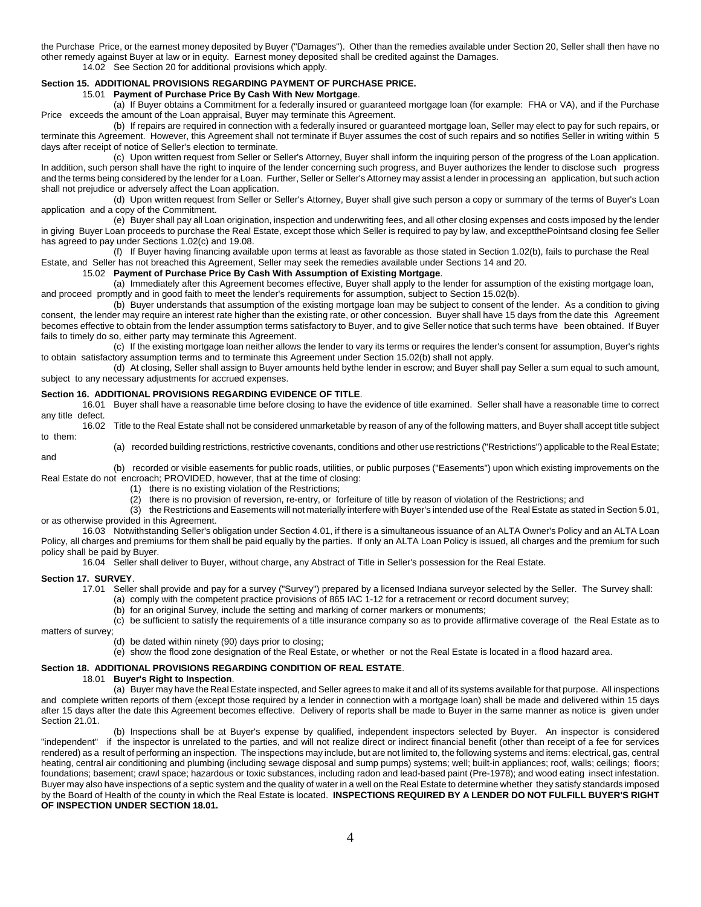the Purchase Price, or the earnest money deposited by Buyer ("Damages"). Other than the remedies available under Section 20, Seller shall then have no other remedy against Buyer at law or in equity. Earnest money deposited shall be credited against the Damages.

14.02 See Section 20 for additional provisions which apply.

#### **Section 15. ADDITIONAL PROVISIONS REGARDING PAYMENT OF PURCHASE PRICE.**

15.01 **Payment of Purchase Price By Cash With New Mortgage**.

(a) If Buyer obtains a Commitment for a federally insured or guaranteed mortgage loan (for example: FHA or VA), and if the Purchase Price exceeds the amount of the Loan appraisal, Buyer may terminate this Agreement.

(b) If repairs are required in connection with a federally insured or guaranteed mortgage loan, Seller may elect to pay for such repairs, or terminate this Agreement. However, this Agreement shall not terminate if Buyer assumes the cost of such repairs and so notifies Seller in writing within 5 days after receipt of notice of Seller's election to terminate.

(c) Upon written request from Seller or Seller's Attorney, Buyer shall inform the inquiring person of the progress of the Loan application. In addition, such person shall have the right to inquire of the lender concerning such progress, and Buyer authorizes the lender to disclose such progress and the terms being considered by the lender for a Loan. Further, Seller or Seller's Attorney may assist a lender in processing an application, but such action shall not prejudice or adversely affect the Loan application.

(d) Upon written request from Seller or Seller's Attorney, Buyer shall give such person a copy or summary of the terms of Buyer's Loan application and a copy of the Commitment.

(e) Buyer shall pay all Loan origination, inspection and underwriting fees, and all other closing expenses and costs imposed by the lender in giving Buyer Loan proceeds to purchase the Real Estate, except those which Seller is required to pay by law, and exceptthePointsand closing fee Seller has agreed to pay under Sections 1.02(c) and 19.08.

(f) If Buyer having financing available upon terms at least as favorable as those stated in Section 1.02(b), fails to purchase the Real Estate, and Seller has not breached this Agreement, Seller may seek the remedies available under Sections 14 and 20.

#### 15.02 **Payment of Purchase Price By Cash With Assumption of Existing Mortgage**.

(a) Immediately after this Agreement becomes effective, Buyer shall apply to the lender for assumption of the existing mortgage loan, and proceed promptly and in good faith to meet the lender's requirements for assumption, subject to Section 15.02(b).

(b) Buyer understands that assumption of the existing mortgage loan may be subject to consent of the lender. As a condition to giving consent, the lender may require an interest rate higher than the existing rate, or other concession. Buyer shall have 15 days from the date this Agreement becomes effective to obtain from the lender assumption terms satisfactory to Buyer, and to give Seller notice that such terms have been obtained. If Buyer fails to timely do so, either party may terminate this Agreement.

(c) If the existing mortgage loan neither allows the lender to vary its terms or requires the lender's consent for assumption, Buyer's rights to obtain satisfactory assumption terms and to terminate this Agreement under Section 15.02(b) shall not apply.

(d) At closing, Seller shall assign to Buyer amounts held bythe lender in escrow; and Buyer shall pay Seller a sum equal to such amount, subject to any necessary adjustments for accrued expenses.

#### **Section 16. ADDITIONAL PROVISIONS REGARDING EVIDENCE OF TITLE**.

16.01 Buyer shall have a reasonable time before closing to have the evidence of title examined. Seller shall have a reasonable time to correct any title defect.

16.02 Title to the Real Estate shall not be considered unmarketable by reason of any of the following matters, and Buyer shall accept title subject to them:

(a) recorded building restrictions, restrictive covenants, conditions and other use restrictions ("Restrictions") applicable to the Real Estate;

(b) recorded or visible easements for public roads, utilities, or public purposes ("Easements") upon which existing improvements on the Real Estate do not encroach; PROVIDED, however, that at the time of closing:

(1) there is no existing violation of the Restrictions;

(2) there is no provision of reversion, re-entry, or forfeiture of title by reason of violation of the Restrictions; and

(3) the Restrictions and Easements will not materially interfere with Buyer's intended use of the Real Estate as stated in Section 5.01, or as otherwise provided in this Agreement.

16.03 Notwithstanding Seller's obligation under Section 4.01, if there is a simultaneous issuance of an ALTA Owner's Policy and an ALTA Loan Policy, all charges and premiums for them shall be paid equally by the parties. If only an ALTA Loan Policy is issued, all charges and the premium for such policy shall be paid by Buyer.

16.04 Seller shall deliver to Buyer, without charge, any Abstract of Title in Seller's possession for the Real Estate.

#### **Section 17. SURVEY**.

and

17.01 Seller shall provide and pay for a survey ("Survey") prepared by a licensed Indiana surveyor selected by the Seller. The Survey shall:

- (a) comply with the competent practice provisions of 865 IAC 1-12 for a retracement or record document survey;
	- (b) for an original Survey, include the setting and marking of corner markers or monuments;

(c) be sufficient to satisfy the requirements of a title insurance company so as to provide affirmative coverage of the Real Estate as to matters of survey;

(d) be dated within ninety (90) days prior to closing;

(e) show the flood zone designation of the Real Estate, or whether or not the Real Estate is located in a flood hazard area.

# **Section 18. ADDITIONAL PROVISIONS REGARDING CONDITION OF REAL ESTATE**.

18.01 **Buyer's Right to Inspection**.

(a) Buyer may have the Real Estate inspected, and Seller agrees to make it and all of its systems available for that purpose. All inspections and complete written reports of them (except those required by a lender in connection with a mortgage loan) shall be made and delivered within 15 days after 15 days after the date this Agreement becomes effective. Delivery of reports shall be made to Buyer in the same manner as notice is given under Section 21.01.

(b) Inspections shall be at Buyer's expense by qualified, independent inspectors selected by Buyer. An inspector is considered "independent" if the inspector is unrelated to the parties, and will not realize direct or indirect financial benefit (other than receipt of a fee for services rendered) as a result of performing an inspection. The inspections may include, but are not limited to, the following systems and items: electrical, gas, central heating, central air conditioning and plumbing (including sewage disposal and sump pumps) systems; well; built-in appliances; roof, walls; ceilings; floors; foundations; basement; crawl space; hazardous or toxic substances, including radon and lead-based paint (Pre-1978); and wood eating insect infestation. Buyer may also have inspections of a septic system and the quality of water in a well on the Real Estate to determine whether they satisfy standards imposed by the Board of Health of the county in which the Real Estate is located. **INSPECTIONS REQUIRED BY A LENDER DO NOT FULFILL BUYER'S RIGHT OF INSPECTION UNDER SECTION 18.01.**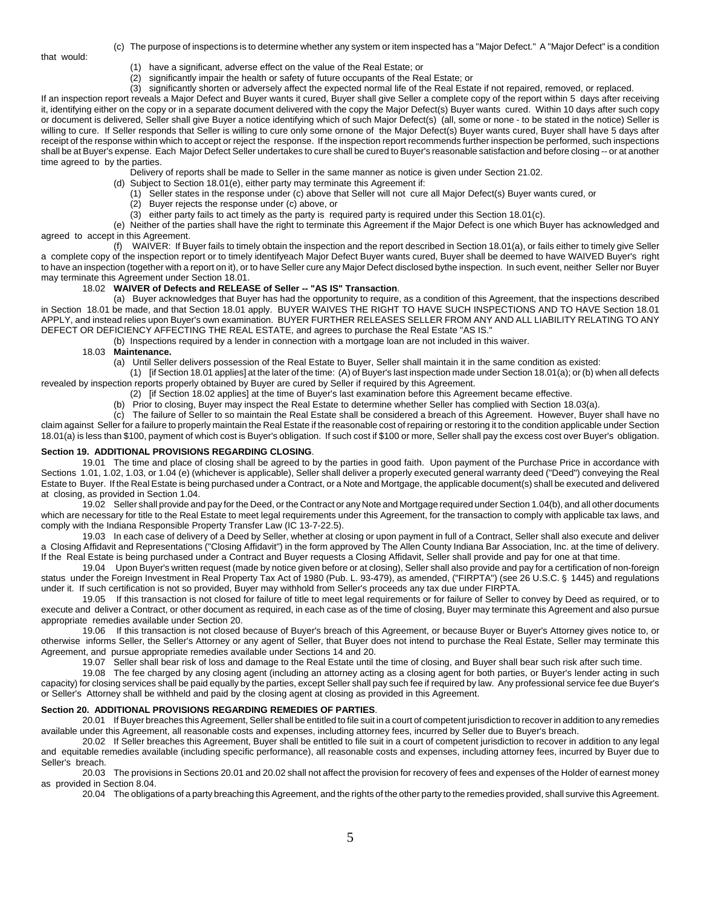that would:

- (c) The purpose of inspections is to determine whether any system or item inspected has a "Major Defect." A "Major Defect" is a condition
	- (1) have a significant, adverse effect on the value of the Real Estate; or
	- (2) significantly impair the health or safety of future occupants of the Real Estate; or
- (3) significantly shorten or adversely affect the expected normal life of the Real Estate if not repaired, removed, or replaced.

If an inspection report reveals a Major Defect and Buyer wants it cured, Buyer shall give Seller a complete copy of the report within 5 days after receiving it, identifying either on the copy or in a separate document delivered with the copy the Major Defect(s) Buyer wants cured. Within 10 days after such copy or document is delivered, Seller shall give Buyer a notice identifying which of such Major Defect(s) (all, some or none - to be stated in the notice) Seller is willing to cure. If Seller responds that Seller is willing to cure only some ornone of the Major Defect(s) Buyer wants cured, Buyer shall have 5 days after receipt of the response within which to accept or reject the response. If the inspection report recommends further inspection be performed, such inspections shall be at Buyer's expense. Each Major Defect Seller undertakes to cure shall be cured to Buyer's reasonable satisfaction and before closing -- or at another time agreed to by the parties.

Delivery of reports shall be made to Seller in the same manner as notice is given under Section 21.02.

- (d) Subject to Section 18.01(e), either party may terminate this Agreement if:
	- (1) Seller states in the response under (c) above that Seller will not cure all Major Defect(s) Buyer wants cured, or
	- (2) Buyer rejects the response under (c) above, or
	- (3) either party fails to act timely as the party is required party is required under this Section 18.01(c).

(e) Neither of the parties shall have the right to terminate this Agreement if the Major Defect is one which Buyer has acknowledged and agreed to accept in this Agreement.

(f) WAIVER: If Buyer fails to timely obtain the inspection and the report described in Section 18.01(a), or fails either to timely give Seller a complete copy of the inspection report or to timely identifyeach Major Defect Buyer wants cured, Buyer shall be deemed to have WAIVED Buyer's right to have an inspection (together with a report on it), or to have Seller cure any Major Defect disclosed bythe inspection. In such event, neither Seller nor Buyer may terminate this Agreement under Section 18.01.

# 18.02 **WAIVER of Defects and RELEASE of Seller -- "AS IS" Transaction**.

(a) Buyer acknowledges that Buyer has had the opportunity to require, as a condition of this Agreement, that the inspections described in Section 18.01 be made, and that Section 18.01 apply. BUYER WAIVES THE RIGHT TO HAVE SUCH INSPECTIONS AND TO HAVE Section 18.01 APPLY, and instead relies upon Buyer's own examination. BUYER FURTHER RELEASES SELLER FROM ANY AND ALL LIABILITY RELATING TO ANY DEFECT OR DEFICIENCY AFFECTING THE REAL ESTATE, and agrees to purchase the Real Estate "AS IS."

(b) Inspections required by a lender in connection with a mortgage loan are not included in this waiver.

# 18.03 **Maintenance.**

(a) Until Seller delivers possession of the Real Estate to Buyer, Seller shall maintain it in the same condition as existed:

(1) [if Section 18.01 applies] at the later of the time: (A) of Buyer's last inspection made under Section 18.01(a); or (b) when all defects revealed by inspection reports properly obtained by Buyer are cured by Seller if required by this Agreement.

- (2) [if Section 18.02 applies] at the time of Buyer's last examination before this Agreement became effective.
- Prior to closing, Buyer may inspect the Real Estate to determine whether Seller has complied with Section 18.03(a).

(c) The failure of Seller to so maintain the Real Estate shall be considered a breach of this Agreement. However, Buyer shall have no claim against Seller for a failure to properly maintain the Real Estate if the reasonable cost of repairing or restoring it to the condition applicable under Section 18.01(a) is less than \$100, payment of which cost is Buyer's obligation. If such cost if \$100 or more, Seller shall pay the excess cost over Buyer's obligation.

#### **Section 19. ADDITIONAL PROVISIONS REGARDING CLOSING**.

19.01 The time and place of closing shall be agreed to by the parties in good faith. Upon payment of the Purchase Price in accordance with Sections 1.01, 1.02, 1.03, or 1.04 (e) (whichever is applicable), Seller shall deliver a properly executed general warranty deed ("Deed") conveying the Real Estate to Buyer. If the Real Estate is being purchased under a Contract, or a Note and Mortgage, the applicable document(s) shall be executed and delivered at closing, as provided in Section 1.04.

19.02 Seller shall provide and pay for the Deed, or the Contract or any Note and Mortgage required under Section 1.04(b), and all other documents which are necessary for title to the Real Estate to meet legal requirements under this Agreement, for the transaction to comply with applicable tax laws, and comply with the Indiana Responsible Property Transfer Law (IC 13-7-22.5).

19.03 In each case of delivery of a Deed by Seller, whether at closing or upon payment in full of a Contract, Seller shall also execute and deliver a Closing Affidavit and Representations ("Closing Affidavit") in the form approved by The Allen County Indiana Bar Association, Inc. at the time of delivery. If the Real Estate is being purchased under a Contract and Buyer requests a Closing Affidavit, Seller shall provide and pay for one at that time.

19.04 Upon Buyer's written request (made by notice given before or at closing), Seller shall also provide and pay for a certification of non-foreign status under the Foreign Investment in Real Property Tax Act of 1980 (Pub. L. 93-479), as amended, ("FIRPTA") (see 26 U.S.C. § 1445) and regulations under it. If such certification is not so provided, Buyer may withhold from Seller's proceeds any tax due under FIRPTA.

19.05 If this transaction is not closed for failure of title to meet legal requirements or for failure of Seller to convey by Deed as required, or to execute and deliver a Contract, or other document as required, in each case as of the time of closing, Buyer may terminate this Agreement and also pursue appropriate remedies available under Section 20.

19.06 If this transaction is not closed because of Buyer's breach of this Agreement, or because Buyer or Buyer's Attorney gives notice to, or otherwise informs Seller, the Seller's Attorney or any agent of Seller, that Buyer does not intend to purchase the Real Estate, Seller may terminate this Agreement, and pursue appropriate remedies available under Sections 14 and 20.

19.07 Seller shall bear risk of loss and damage to the Real Estate until the time of closing, and Buyer shall bear such risk after such time.

19.08 The fee charged by any closing agent (including an attorney acting as a closing agent for both parties, or Buyer's lender acting in such capacity) for closing services shall be paid equally by the parties, except Seller shall pay such fee if required by law. Any professional service fee due Buyer's or Seller's Attorney shall be withheld and paid by the closing agent at closing as provided in this Agreement.

#### **Section 20. ADDITIONAL PROVISIONS REGARDING REMEDIES OF PARTIES**.

20.01 If Buyer breaches this Agreement, Seller shall be entitled to file suit in a court of competent jurisdiction to recover in addition to any remedies available under this Agreement, all reasonable costs and expenses, including attorney fees, incurred by Seller due to Buyer's breach.

20.02 If Seller breaches this Agreement, Buyer shall be entitled to file suit in a court of competent jurisdiction to recover in addition to any legal and equitable remedies available (including specific performance), all reasonable costs and expenses, including attorney fees, incurred by Buyer due to Seller's breach.

20.03 The provisions in Sections 20.01 and 20.02 shall not affect the provision for recovery of fees and expenses of the Holder of earnest money as provided in Section 8.04.

20.04 The obligations of a party breaching this Agreement, and the rights of the other party to the remedies provided, shall survive this Agreement.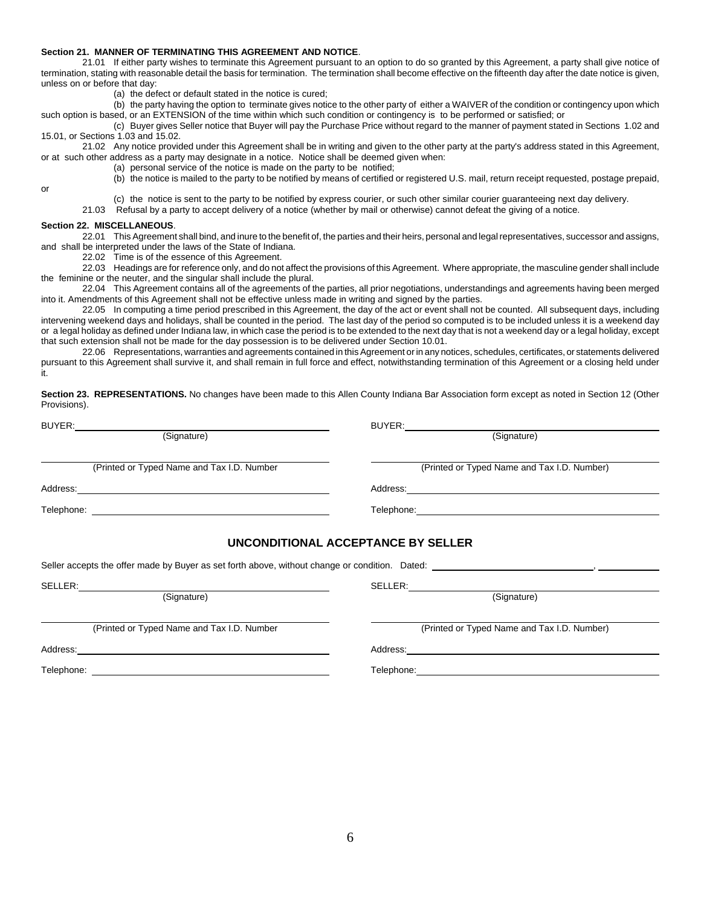#### **Section 21. MANNER OF TERMINATING THIS AGREEMENT AND NOTICE**.

21.01 If either party wishes to terminate this Agreement pursuant to an option to do so granted by this Agreement, a party shall give notice of termination, stating with reasonable detail the basis for termination. The termination shall become effective on the fifteenth day after the date notice is given, unless on or before that day:

- (a) the defect or default stated in the notice is cured;
- (b) the party having the option to terminate gives notice to the other party of either a WAIVER of the condition or contingency upon which such option is based, or an EXTENSION of the time within which such condition or contingency is to be performed or satisfied; or

(c) Buyer gives Seller notice that Buyer will pay the Purchase Price without regard to the manner of payment stated in Sections 1.02 and 15.01, or Sections 1.03 and 15.02.

21.02 Any notice provided under this Agreement shall be in writing and given to the other party at the party's address stated in this Agreement, or at such other address as a party may designate in a notice. Notice shall be deemed given when:

(a) personal service of the notice is made on the party to be notified;

(b) the notice is mailed to the party to be notified by means of certified or registered U.S. mail, return receipt requested, postage prepaid,

(c) the notice is sent to the party to be notified by express courier, or such other similar courier guaranteeing next day delivery.

21.03 Refusal by a party to accept delivery of a notice (whether by mail or otherwise) cannot defeat the giving of a notice.

#### **Section 22. MISCELLANEOUS**.

or

22.01 This Agreement shall bind, and inure to the benefit of, the parties and their heirs, personal and legal representatives, successor and assigns, and shall be interpreted under the laws of the State of Indiana.

22.02 Time is of the essence of this Agreement.

22.03 Headings are for reference only, and do not affect the provisions of this Agreement. Where appropriate, the masculine gender shall include the feminine or the neuter, and the singular shall include the plural.

22.04 This Agreement contains all of the agreements of the parties, all prior negotiations, understandings and agreements having been merged into it. Amendments of this Agreement shall not be effective unless made in writing and signed by the parties.

22.05 In computing a time period prescribed in this Agreement, the day of the act or event shall not be counted. All subsequent days, including intervening weekend days and holidays, shall be counted in the period. The last day of the period so computed is to be included unless it is a weekend day or a legal holiday as defined under Indiana law, in which case the period is to be extended to the next day that is not a weekend day or a legal holiday, except that such extension shall not be made for the day possession is to be delivered under Section 10.01.

22.06 Representations, warranties and agreements contained in this Agreement or in any notices, schedules, certificates, or statements delivered pursuant to this Agreement shall survive it, and shall remain in full force and effect, notwithstanding termination of this Agreement or a closing held under it.

**Section 23. REPRESENTATIONS.** No changes have been made to this Allen County Indiana Bar Association form except as noted in Section 12 (Other Provisions).

|                                            | BUYER: New York Street, New York Street, New York Street, New York Street, New York Street, New York Street, New York Street, New York Street, New York Street, New York Street, New York Street, New York Street, New York St       |
|--------------------------------------------|--------------------------------------------------------------------------------------------------------------------------------------------------------------------------------------------------------------------------------------|
| (Signature)                                | (Signature)                                                                                                                                                                                                                          |
| (Printed or Typed Name and Tax I.D. Number | (Printed or Typed Name and Tax I.D. Number)                                                                                                                                                                                          |
|                                            |                                                                                                                                                                                                                                      |
|                                            | Telephone: <u>www.community.com/inductors/inductors/inductors/inductors/inductors/inductors/inductors/inductors/inductors/inductors/inductors/inductors/inductors/inductors/inductors/inductors/inductors/inductors/inductors/in</u> |
|                                            |                                                                                                                                                                                                                                      |
|                                            |                                                                                                                                                                                                                                      |
| SELLER: 2000<br>(Signature)                | SELLER:<br>$\overline{\text{(Signature)}}$                                                                                                                                                                                           |
| (Printed or Typed Name and Tax I.D. Number | (Printed or Typed Name and Tax I.D. Number)                                                                                                                                                                                          |
|                                            |                                                                                                                                                                                                                                      |
| Telephone:                                 | Telephone:                                                                                                                                                                                                                           |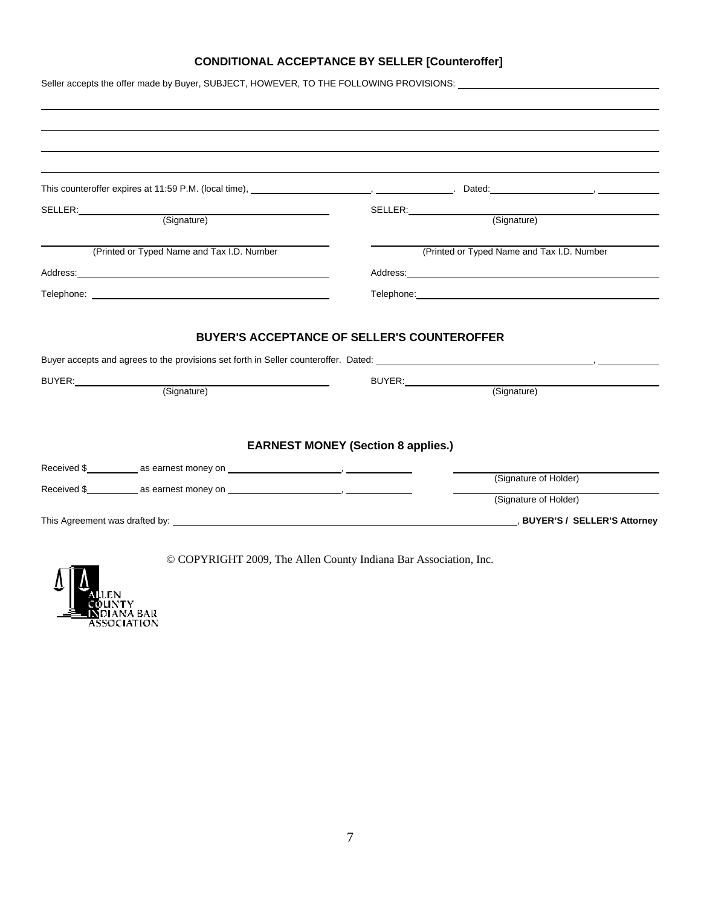# **CONDITIONAL ACCEPTANCE BY SELLER [Counteroffer]**

|                                            | Seller accepts the offer made by Buyer, SUBJECT, HOWEVER, TO THE FOLLOWING PROVISIONS:              |
|--------------------------------------------|-----------------------------------------------------------------------------------------------------|
|                                            |                                                                                                     |
|                                            |                                                                                                     |
|                                            |                                                                                                     |
|                                            |                                                                                                     |
|                                            |                                                                                                     |
|                                            |                                                                                                     |
| SELLER: (Signature)                        | SELLER: (Signature)                                                                                 |
| (Printed or Typed Name and Tax I.D. Number | (Printed or Typed Name and Tax I.D. Number                                                          |
|                                            |                                                                                                     |
|                                            | Telephone: www.astronometer.com/www.astronometer.com/www.astronometer.com/www.astronometer.com/www. |
|                                            |                                                                                                     |
|                                            | <b>BUYER'S ACCEPTANCE OF SELLER'S COUNTEROFFER</b>                                                  |
|                                            |                                                                                                     |
|                                            |                                                                                                     |
| (Signature)                                | BUYER: (Signature)                                                                                  |
|                                            |                                                                                                     |
|                                            |                                                                                                     |
|                                            | <b>EARNEST MONEY (Section 8 applies.)</b>                                                           |
|                                            |                                                                                                     |
|                                            |                                                                                                     |
|                                            | (Signature of Holder)                                                                               |
|                                            |                                                                                                     |
|                                            | (Signature of Holder)                                                                               |



© COPYRIGHT 2009, The Allen County Indiana Bar Association, Inc.